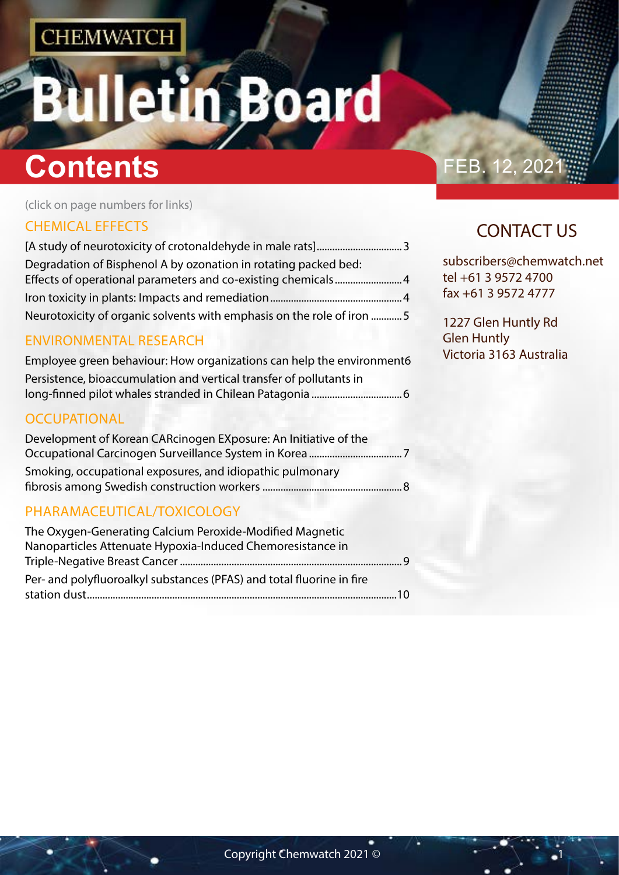## letin Board 5 Ш

# **Contents Contents FEB.** 12, 202

(click on page numbers for links)

#### [CHEMICAL EFFECTS](#page-1-0)

| Degradation of Bisphenol A by ozonation in rotating packed bed:       |  |
|-----------------------------------------------------------------------|--|
|                                                                       |  |
|                                                                       |  |
| Neurotoxicity of organic solvents with emphasis on the role of iron 5 |  |

#### [ENVIRONMENTAL RESEARCH](#page-2-0)

| Employee green behaviour: How organizations can help the environment6 |
|-----------------------------------------------------------------------|
| Persistence, bioaccumulation and vertical transfer of pollutants in   |
|                                                                       |

#### **[OCCUPATIONAL](#page-3-0)**

| Development of Korean CARcinogen EXposure: An Initiative of the |  |
|-----------------------------------------------------------------|--|
|                                                                 |  |
| Smoking, occupational exposures, and idiopathic pulmonary       |  |
|                                                                 |  |

#### [PHARAMACEUTICAL/TOXICOLOGY](#page-4-0)

| The Oxygen-Generating Calcium Peroxide-Modified Magnetic              |  |
|-----------------------------------------------------------------------|--|
| Nanoparticles Attenuate Hypoxia-Induced Chemoresistance in            |  |
|                                                                       |  |
| Per- and polyfluoroalkyl substances (PFAS) and total fluorine in fire |  |
|                                                                       |  |

## CONTACT US

subscribers@chemwatch.net tel +61 3 9572 4700 fax +61 3 9572 4777

1227 Glen Huntly Rd Glen Huntly Victoria 3163 Australia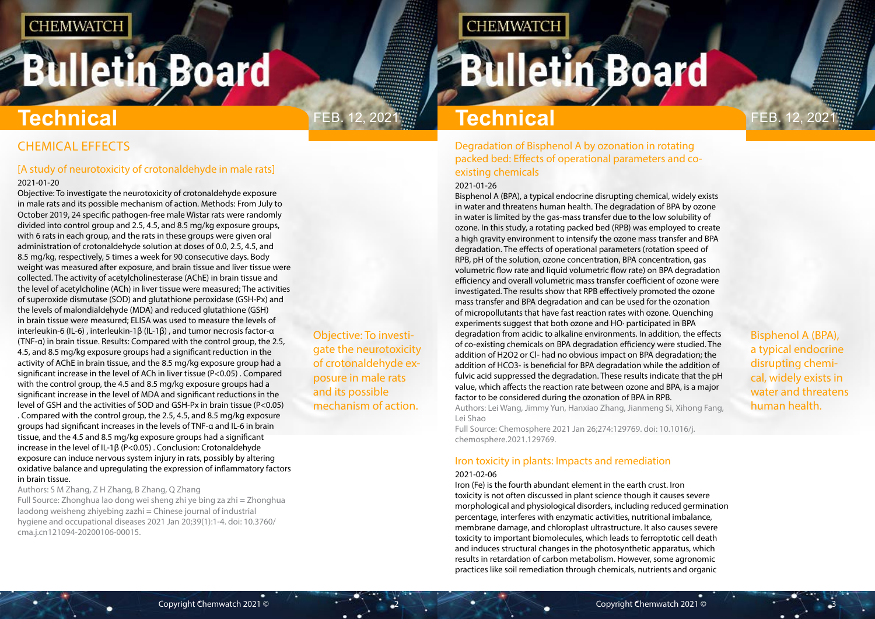# <span id="page-1-0"></span>**Bulletin Board**

Objective: To investigate the neurotoxicity of crotonaldehyde exposure in male rats and its possible mechanism of action.

**CHEMWATCH** 

Feb. 12, 2021 Feb. 12, 2021 **Technical**

Bisphenol A (BPA), a typical endocrine disrupting chemical, widely exists in water and threatens human health.

### CHEMICAL EFFECTS

### [A study of neurotoxicity of crotonaldehyde in male rats]

#### 2021-01-20

Objective: To investigate the neurotoxicity of crotonaldehyde exposure in male rats and its possible mechanism of action. Methods: From July to October 2019, 24 specific pathogen-free male Wistar rats were randomly divided into control group and 2.5, 4.5, and 8.5 mg/kg exposure groups, with 6 rats in each group, and the rats in these groups were given oral administration of crotonaldehyde solution at doses of 0.0, 2.5, 4.5, and 8.5 mg/kg, respectively, 5 times a week for 90 consecutive days. Body weight was measured after exposure, and brain tissue and liver tissue were collected. The activity of acetylcholinesterase (AChE) in brain tissue and the level of acetylcholine (ACh) in liver tissue were measured; The activities of superoxide dismutase (SOD) and glutathione peroxidase (GSH-Px) and the levels of malondialdehyde (MDA) and reduced glutathione (GSH) in brain tissue were measured; ELISA was used to measure the levels of interleukin-6 (IL-6) , interleukin-1β (IL-1β) , and tumor necrosis factor-α (TNF-α) in brain tissue. Results: Compared with the control group, the 2.5, 4.5, and 8.5 mg/kg exposure groups had a significant reduction in the activity of AChE in brain tissue, and the 8.5 mg/kg exposure group had a significant increase in the level of ACh in liver tissue (P<0.05) . Compared with the control group, the 4.5 and 8.5 mg/kg exposure groups had a significant increase in the level of MDA and significant reductions in the level of GSH and the activities of SOD and GSH-Px in brain tissue (P<0.05) . Compared with the control group, the 2.5, 4.5, and 8.5 mg/kg exposure groups had significant increases in the levels of TNF-α and IL-6 in brain tissue, and the 4.5 and 8.5 mg/kg exposure groups had a significant increase in the level of IL-1β (P<0.05) . Conclusion: Crotonaldehyde exposure can induce nervous system injury in rats, possibly by altering oxidative balance and upregulating the expression of inflammatory factors in brain tissue.

Authors: S M Zhang, Z H Zhang, B Zhang, Q Zhang Full Source: Zhonghua lao dong wei sheng zhi ye bing za zhi = Zhonghua laodong weisheng zhiyebing zazhi = Chinese journal of industrial hygiene and occupational diseases 2021 Jan 20;39(1):1-4. doi: 10.3760/ cma.j.cn121094-20200106-00015.

# **Technical**

Degradation of Bisphenol A by ozonation in rotating packed bed: Effects of operational parameters and coexisting chemicals

#### 2021-01-26

Bisphenol A (BPA), a typical endocrine disrupting chemical, widely exists in water and threatens human health. The degradation of BPA by ozone in water is limited by the gas-mass transfer due to the low solubility of ozone. In this study, a rotating packed bed (RPB) was employed to create a high gravity environment to intensify the ozone mass transfer and BPA degradation. The effects of operational parameters (rotation speed of RPB, pH of the solution, ozone concentration, BPA concentration, gas volumetric flow rate and liquid volumetric flow rate) on BPA degradation efficiency and overall volumetric mass transfer coefficient of ozone were investigated. The results show that RPB effectively promoted the ozone mass transfer and BPA degradation and can be used for the ozonation of micropollutants that have fast reaction rates with ozone. Quenching experiments suggest that both ozone and HO∙ participated in BPA degradation from acidic to alkaline environments. In addition, the effects of co-existing chemicals on BPA degradation efficiency were studied. The addition of H2O2 or Cl- had no obvious impact on BPA degradation; the addition of HCO3- is beneficial for BPA degradation while the addition of fulvic acid suppressed the degradation. These results indicate that the pH value, which affects the reaction rate between ozone and BPA, is a major factor to be considered during the ozonation of BPA in RPB. Authors: Lei Wang, Jimmy Yun, Hanxiao Zhang, Jianmeng Si, Xihong Fang, Lei Shao

Full Source: Chemosphere 2021 Jan 26;274:129769. doi: 10.1016/j. chemosphere.2021.129769.

#### Iron toxicity in plants: Impacts and remediation

#### 2021-02-06

Iron (Fe) is the fourth abundant element in the earth crust. Iron toxicity is not often discussed in plant science though it causes severe morphological and physiological disorders, including reduced germination percentage, interferes with enzymatic activities, nutritional imbalance, membrane damage, and chloroplast ultrastructure. It also causes severe toxicity to important biomolecules, which leads to ferroptotic cell death and induces structural changes in the photosynthetic apparatus, which results in retardation of carbon metabolism. However, some agronomic practices like soil remediation through chemicals, nutrients and organic

**Bulletin Board**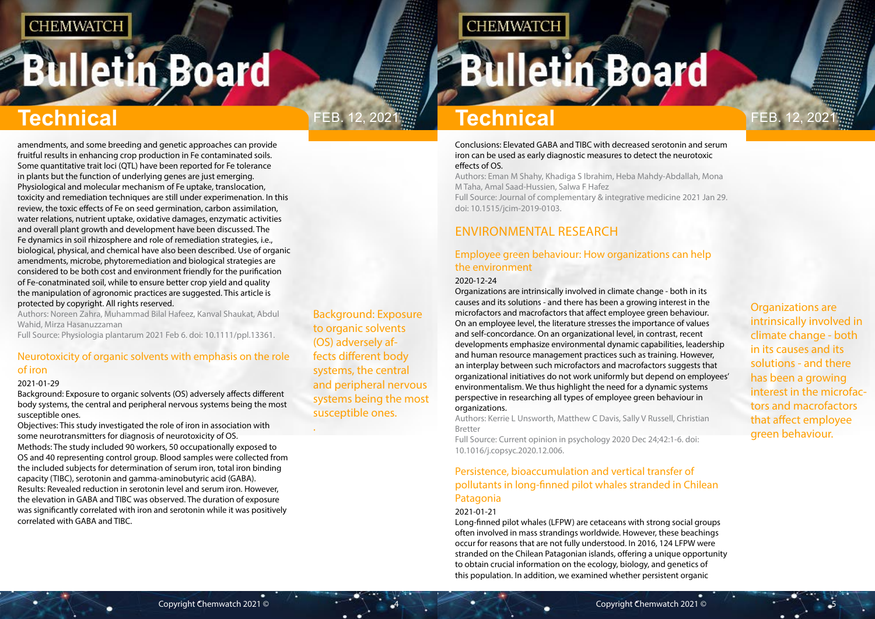# <span id="page-2-0"></span>**Bulletin Board**



Background: Exposure to organic solvents (OS) adversely affects different body systems, the central and peripheral nervous systems being the most susceptible ones.

.

# **CHEMWATCH**

# **Bulletin Board**

Organizations are intrinsically involved in climate change - both in its causes and its solutions - and there has been a growing interest in the microfactors and macrofactors that affect employee green behaviour.

# **Technical Technical**

amendments, and some breeding and genetic approaches can provide fruitful results in enhancing crop production in Fe contaminated soils. Some quantitative trait loci (QTL) have been reported for Fe tolerance in plants but the function of underlying genes are just emerging. Physiological and molecular mechanism of Fe uptake, translocation, toxicity and remediation techniques are still under experimenation. In this review, the toxic effects of Fe on seed germination, carbon assimilation, water relations, nutrient uptake, oxidative damages, enzymatic activities and overall plant growth and development have been discussed. The Fe dynamics in soil rhizosphere and role of remediation strategies, i.e., biological, physical, and chemical have also been described. Use of organic amendments, microbe, phytoremediation and biological strategies are considered to be both cost and environment friendly for the purification of Fe-conatminated soil, while to ensure better crop yield and quality the manipulation of agronomic practices are suggested. This article is protected by copyright. All rights reserved.

Authors: Noreen Zahra, Muhammad Bilal Hafeez, Kanval Shaukat, Abdul Wahid, Mirza Hasanuzzaman

Full Source: Physiologia plantarum 2021 Feb 6. doi: 10.1111/ppl.13361.

#### Neurotoxicity of organic solvents with emphasis on the role of iron

#### 2021-01-29

Background: Exposure to organic solvents (OS) adversely affects different body systems, the central and peripheral nervous systems being the most susceptible ones.

Objectives: This study investigated the role of iron in association with some neurotransmitters for diagnosis of neurotoxicity of OS. Methods: The study included 90 workers, 50 occupationally exposed to OS and 40 representing control group. Blood samples were collected from the included subjects for determination of serum iron, total iron binding capacity (TIBC), serotonin and gamma-aminobutyric acid (GABA). Results: Revealed reduction in serotonin level and serum iron. However,

the elevation in GABA and TIBC was observed. The duration of exposure was significantly correlated with iron and serotonin while it was positively correlated with GABA and TIBC.

#### Conclusions: Elevated GABA and TIBC with decreased serotonin and serum iron can be used as early diagnostic measures to detect the neurotoxic effects of OS.

Authors: Eman M Shahy, Khadiga S Ibrahim, Heba Mahdy-Abdallah, Mona M Taha, Amal Saad-Hussien, Salwa F Hafez Full Source: Journal of complementary & integrative medicine 2021 Jan 29. doi: 10.1515/jcim-2019-0103.

### ENVIRONMENTAL RESEARCH

### Employee green behaviour: How organizations can help the environment

#### 2020-12-24

Organizations are intrinsically involved in climate change - both in its causes and its solutions - and there has been a growing interest in the microfactors and macrofactors that affect employee green behaviour. On an employee level, the literature stresses the importance of values and self-concordance. On an organizational level, in contrast, recent developments emphasize environmental dynamic capabilities, leadership and human resource management practices such as training. However, an interplay between such microfactors and macrofactors suggests that organizational initiatives do not work uniformly but depend on employees' environmentalism. We thus highlight the need for a dynamic systems perspective in researching all types of employee green behaviour in organizations.

Authors: Kerrie L Unsworth, Matthew C Davis, Sally V Russell, Christian Bretter

Full Source: Current opinion in psychology 2020 Dec 24;42:1-6. doi: 10.1016/j.copsyc.2020.12.006.

#### Persistence, bioaccumulation and vertical transfer of pollutants in long-finned pilot whales stranded in Chilean Patagonia

#### 2021-01-21

Long-finned pilot whales (LFPW) are cetaceans with strong social groups often involved in mass strandings worldwide. However, these beachings occur for reasons that are not fully understood. In 2016, 124 LFPW were stranded on the Chilean Patagonian islands, offering a unique opportunity to obtain crucial information on the ecology, biology, and genetics of this population. In addition, we examined whether persistent organic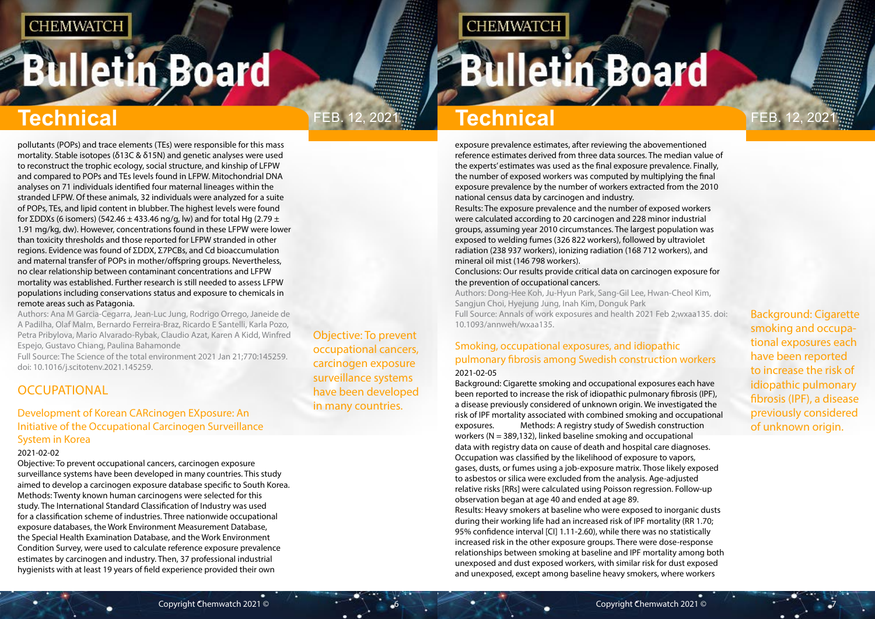# <span id="page-3-0"></span>**Bulletin Board**

# Feb. 12, 2021 Feb. 12, 2021

Objective: To prevent occupational cancers, carcinogen exposure surveillance systems have been developed in many countries.

# **CHEMWATCH**

# **Bulletin Board**

Background: Cigarette smoking and occupational exposures each have been reported to increase the risk of idiopathic pulmonary fibrosis (IPF), a disease previously considered of unknown origin.

# **Technical Technical**

pollutants (POPs) and trace elements (TEs) were responsible for this mass mortality. Stable isotopes (δ13C & δ15N) and genetic analyses were used to reconstruct the trophic ecology, social structure, and kinship of LFPW and compared to POPs and TEs levels found in LFPW. Mitochondrial DNA analyses on 71 individuals identified four maternal lineages within the stranded LFPW. Of these animals, 32 individuals were analyzed for a suite of POPs, TEs, and lipid content in blubber. The highest levels were found for ΣDDXs (6 isomers) (542.46  $\pm$  433.46 ng/g, lw) and for total Hg (2.79  $\pm$ 1.91 mg/kg, dw). However, concentrations found in these LFPW were lower than toxicity thresholds and those reported for LFPW stranded in other regions. Evidence was found of ΣDDX, Σ7PCBs, and Cd bioaccumulation and maternal transfer of POPs in mother/offspring groups. Nevertheless, no clear relationship between contaminant concentrations and LFPW mortality was established. Further research is still needed to assess LFPW populations including conservations status and exposure to chemicals in remote areas such as Patagonia.

Authors: Ana M Garcia-Cegarra, Jean-Luc Jung, Rodrigo Orrego, Janeide de A Padilha, Olaf Malm, Bernardo Ferreira-Braz, Ricardo E Santelli, Karla Pozo, Petra Pribylova, Mario Alvarado-Rybak, Claudio Azat, Karen A Kidd, Winfred Espejo, Gustavo Chiang, Paulina Bahamonde

Full Source: The Science of the total environment 2021 Jan 21;770:145259. doi: 10.1016/j.scitotenv.2021.145259.

### **OCCUPATIONAL**

#### Development of Korean CARcinogen EXposure: An Initiative of the Occupational Carcinogen Surveillance System in Korea

#### 2021-02-02

Objective: To prevent occupational cancers, carcinogen exposure surveillance systems have been developed in many countries. This study aimed to develop a carcinogen exposure database specific to South Korea. Methods: Twenty known human carcinogens were selected for this study. The International Standard Classification of Industry was used for a classification scheme of industries. Three nationwide occupational exposure databases, the Work Environment Measurement Database, the Special Health Examination Database, and the Work Environment Condition Survey, were used to calculate reference exposure prevalence estimates by carcinogen and industry. Then, 37 professional industrial hygienists with at least 19 years of field experience provided their own

exposure prevalence estimates, after reviewing the abovementioned reference estimates derived from three data sources. The median value of the experts' estimates was used as the final exposure prevalence. Finally, the number of exposed workers was computed by multiplying the final exposure prevalence by the number of workers extracted from the 2010 national census data by carcinogen and industry. Results: The exposure prevalence and the number of exposed workers were calculated according to 20 carcinogen and 228 minor industrial

groups, assuming year 2010 circumstances. The largest population was exposed to welding fumes (326 822 workers), followed by ultraviolet radiation (238 937 workers), ionizing radiation (168 712 workers), and mineral oil mist (146 798 workers).

Conclusions: Our results provide critical data on carcinogen exposure for the prevention of occupational cancers.

Authors: Dong-Hee Koh, Ju-Hyun Park, Sang-Gil Lee, Hwan-Cheol Kim, Sangjun Choi, Hyejung Jung, Inah Kim, Donguk Park Full Source: Annals of work exposures and health 2021 Feb 2;wxaa135. doi: 10.1093/annweh/wxaa135.

#### Smoking, occupational exposures, and idiopathic pulmonary fibrosis among Swedish construction workers 2021-02-05

Background: Cigarette smoking and occupational exposures each have been reported to increase the risk of idiopathic pulmonary fibrosis (IPF), a disease previously considered of unknown origin. We investigated the risk of IPF mortality associated with combined smoking and occupational exposures. Methods: A registry study of Swedish construction workers ( $N = 389,132$ ), linked baseline smoking and occupational data with registry data on cause of death and hospital care diagnoses. Occupation was classified by the likelihood of exposure to vapors, gases, dusts, or fumes using a job-exposure matrix. Those likely exposed to asbestos or silica were excluded from the analysis. Age-adjusted relative risks [RRs] were calculated using Poisson regression. Follow-up observation began at age 40 and ended at age 89. Results: Heavy smokers at baseline who were exposed to inorganic dusts during their working life had an increased risk of IPF mortality (RR 1.70; 95% confidence interval [CI] 1.11-2.60), while there was no statistically increased risk in the other exposure groups. There were dose-response relationships between smoking at baseline and IPF mortality among both unexposed and dust exposed workers, with similar risk for dust exposed and unexposed, except among baseline heavy smokers, where workers